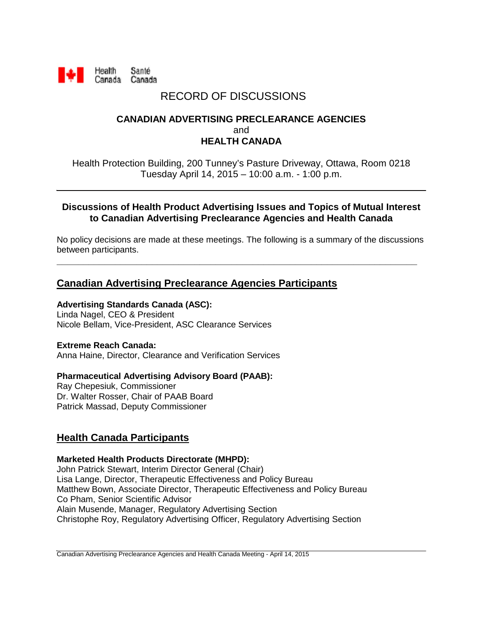

# RECORD OF DISCUSSIONS

### **CANADIAN ADVERTISING PRECLEARANCE AGENCIES** and **HEALTH CANADA**

Health Protection Building, 200 Tunney's Pasture Driveway, Ottawa, Room 0218 Tuesday April 14, 2015 – 10:00 a.m. - 1:00 p.m.

#### **Discussions of Health Product Advertising Issues and Topics of Mutual Interest to Canadian Advertising Preclearance Agencies and Health Canada**

No policy decisions are made at these meetings. The following is a summary of the discussions between participants.

**\_\_\_\_\_\_\_\_\_\_\_\_\_\_\_\_\_\_\_\_\_\_\_\_\_\_\_\_\_\_\_\_\_\_\_\_\_\_\_\_\_\_\_\_\_\_\_\_\_\_\_\_\_\_\_\_\_\_\_\_\_\_\_\_\_\_\_\_**

## **Canadian Advertising Preclearance Agencies Participants**

#### **Advertising Standards Canada (ASC):**

Linda Nagel, CEO & President Nicole Bellam, Vice-President, ASC Clearance Services

#### **Extreme Reach Canada:**

Anna Haine, Director, Clearance and Verification Services

#### **Pharmaceutical Advertising Advisory Board (PAAB):**

Ray Chepesiuk, Commissioner Dr. Walter Rosser, Chair of PAAB Board Patrick Massad, Deputy Commissioner

## **Health Canada Participants**

#### **Marketed Health Products Directorate (MHPD):**

John Patrick Stewart, Interim Director General (Chair) Lisa Lange, Director, Therapeutic Effectiveness and Policy Bureau Matthew Bown, Associate Director, Therapeutic Effectiveness and Policy Bureau Co Pham, Senior Scientific Advisor Alain Musende, Manager, Regulatory Advertising Section Christophe Roy, Regulatory Advertising Officer, Regulatory Advertising Section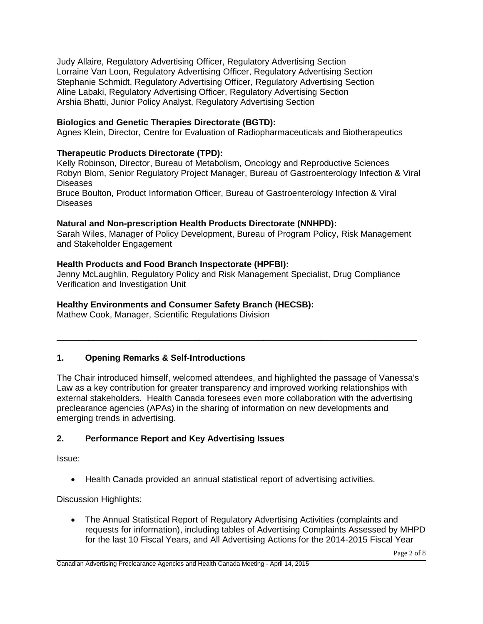Judy Allaire, Regulatory Advertising Officer, Regulatory Advertising Section Lorraine Van Loon, Regulatory Advertising Officer, Regulatory Advertising Section Stephanie Schmidt, Regulatory Advertising Officer, Regulatory Advertising Section Aline Labaki, Regulatory Advertising Officer, Regulatory Advertising Section Arshia Bhatti, Junior Policy Analyst, Regulatory Advertising Section

### **Biologics and Genetic Therapies Directorate (BGTD):**

Agnes Klein, Director, Centre for Evaluation of Radiopharmaceuticals and Biotherapeutics

#### **Therapeutic Products Directorate (TPD):**

Kelly Robinson, Director, Bureau of Metabolism, Oncology and Reproductive Sciences Robyn Blom, Senior Regulatory Project Manager, Bureau of Gastroenterology Infection & Viral Diseases

Bruce Boulton, Product Information Officer, Bureau of Gastroenterology Infection & Viral Diseases

#### **Natural and Non-prescription Health Products Directorate (NNHPD):**

Sarah Wiles, Manager of Policy Development, Bureau of Program Policy, Risk Management and Stakeholder Engagement

#### **Health Products and Food Branch Inspectorate (HPFBI):**

Jenny McLaughlin, Regulatory Policy and Risk Management Specialist, Drug Compliance Verification and Investigation Unit

#### **Healthy Environments and Consumer Safety Branch (HECSB):**

Mathew Cook, Manager, Scientific Regulations Division

#### **1. Opening Remarks & Self-Introductions**

The Chair introduced himself, welcomed attendees, and highlighted the passage of Vanessa's Law as a key contribution for greater transparency and improved working relationships with external stakeholders. Health Canada foresees even more collaboration with the advertising preclearance agencies (APAs) in the sharing of information on new developments and emerging trends in advertising.

\_\_\_\_\_\_\_\_\_\_\_\_\_\_\_\_\_\_\_\_\_\_\_\_\_\_\_\_\_\_\_\_\_\_\_\_\_\_\_\_\_\_\_\_\_\_\_\_\_\_\_\_\_\_\_\_\_\_\_\_\_\_\_\_\_\_\_\_

#### **2. Performance Report and Key Advertising Issues**

Issue:

• Health Canada provided an annual statistical report of advertising activities.

Discussion Highlights:

• The Annual Statistical Report of Regulatory Advertising Activities (complaints and requests for information), including tables of Advertising Complaints Assessed by MHPD for the last 10 Fiscal Years, and All Advertising Actions for the 2014-2015 Fiscal Year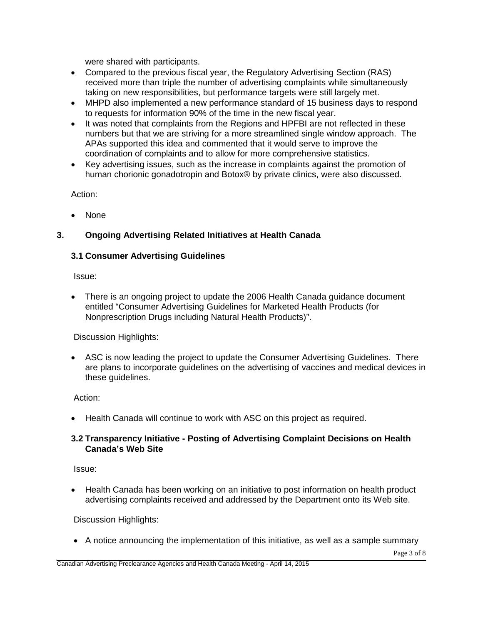were shared with participants.

- Compared to the previous fiscal year, the Regulatory Advertising Section (RAS) received more than triple the number of advertising complaints while simultaneously taking on new responsibilities, but performance targets were still largely met.
- MHPD also implemented a new performance standard of 15 business days to respond to requests for information 90% of the time in the new fiscal year.
- It was noted that complaints from the Regions and HPFBI are not reflected in these numbers but that we are striving for a more streamlined single window approach. The APAs supported this idea and commented that it would serve to improve the coordination of complaints and to allow for more comprehensive statistics.
- Key advertising issues, such as the increase in complaints against the promotion of human chorionic gonadotropin and Botox® by private clinics, were also discussed.

Action:

• None

#### **3. Ongoing Advertising Related Initiatives at Health Canada**

#### **3.1 Consumer Advertising Guidelines**

Issue:

• There is an ongoing project to update the 2006 Health Canada guidance document entitled "Consumer Advertising Guidelines for Marketed Health Products (for Nonprescription Drugs including Natural Health Products)".

Discussion Highlights:

• ASC is now leading the project to update the Consumer Advertising Guidelines. There are plans to incorporate guidelines on the advertising of vaccines and medical devices in these guidelines.

Action:

• Health Canada will continue to work with ASC on this project as required.

#### **3.2 Transparency Initiative - Posting of Advertising Complaint Decisions on Health Canada's Web Site**

Issue:

• Health Canada has been working on an initiative to post information on health product advertising complaints received and addressed by the Department onto its Web site.

Discussion Highlights:

• A notice announcing the implementation of this initiative, as well as a sample summary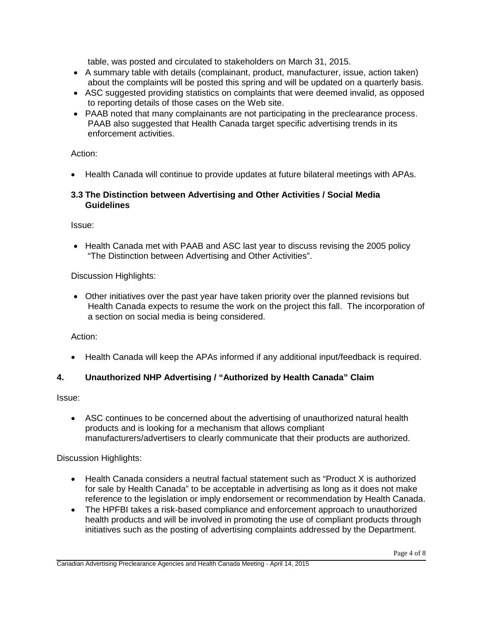table, was posted and circulated to stakeholders on March 31, 2015.

- A summary table with details (complainant, product, manufacturer, issue, action taken) about the complaints will be posted this spring and will be updated on a quarterly basis.
- ASC suggested providing statistics on complaints that were deemed invalid, as opposed to reporting details of those cases on the Web site.
- PAAB noted that many complainants are not participating in the preclearance process. PAAB also suggested that Health Canada target specific advertising trends in its enforcement activities.

Action:

• Health Canada will continue to provide updates at future bilateral meetings with APAs.

#### **3.3 The Distinction between Advertising and Other Activities / Social Media Guidelines**

Issue:

• Health Canada met with PAAB and ASC last year to discuss revising the 2005 policy "The Distinction between Advertising and Other Activities".

Discussion Highlights:

• Other initiatives over the past year have taken priority over the planned revisions but Health Canada expects to resume the work on the project this fall. The incorporation of a section on social media is being considered.

Action:

• Health Canada will keep the APAs informed if any additional input/feedback is required.

## **4. Unauthorized NHP Advertising / "Authorized by Health Canada" Claim**

Issue:

• ASC continues to be concerned about the advertising of unauthorized natural health products and is looking for a mechanism that allows compliant manufacturers/advertisers to clearly communicate that their products are authorized.

- Health Canada considers a neutral factual statement such as "Product X is authorized for sale by Health Canada" to be acceptable in advertising as long as it does not make reference to the legislation or imply endorsement or recommendation by Health Canada.
- The HPFBI takes a risk-based compliance and enforcement approach to unauthorized health products and will be involved in promoting the use of compliant products through initiatives such as the posting of advertising complaints addressed by the Department.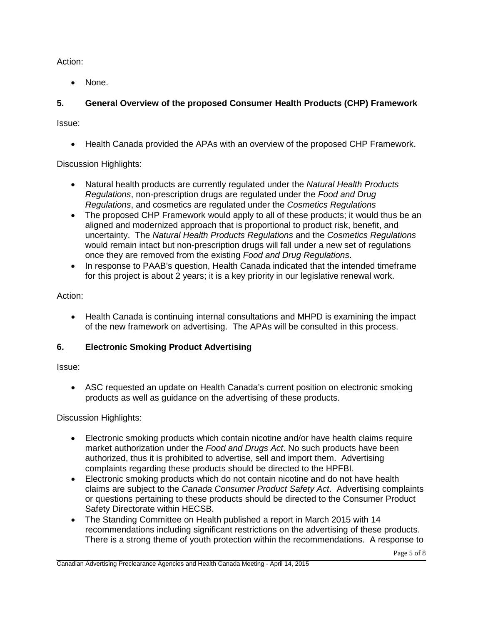Action:

• None.

## **5. General Overview of the proposed Consumer Health Products (CHP) Framework**

Issue:

• Health Canada provided the APAs with an overview of the proposed CHP Framework.

Discussion Highlights:

- Natural health products are currently regulated under the *Natural Health Products Regulations*, non-prescription drugs are regulated under the *Food and Drug Regulations*, and cosmetics are regulated under the *Cosmetics Regulations*
- The proposed CHP Framework would apply to all of these products; it would thus be an aligned and modernized approach that is proportional to product risk, benefit, and uncertainty. The *Natural Health Products Regulations* and the *Cosmetics Regulations* would remain intact but non-prescription drugs will fall under a new set of regulations once they are removed from the existing *Food and Drug Regulations*.
- In response to PAAB's question, Health Canada indicated that the intended timeframe for this project is about 2 years; it is a key priority in our legislative renewal work.

Action:

• Health Canada is continuing internal consultations and MHPD is examining the impact of the new framework on advertising. The APAs will be consulted in this process.

## **6. Electronic Smoking Product Advertising**

Issue:

• ASC requested an update on Health Canada's current position on electronic smoking products as well as guidance on the advertising of these products.

- Electronic smoking products which contain nicotine and/or have health claims require market authorization under the *Food and Drugs Act*. No such products have been authorized, thus it is prohibited to advertise, sell and import them. Advertising complaints regarding these products should be directed to the HPFBI.
- Electronic smoking products which do not contain nicotine and do not have health claims are subject to the *Canada Consumer Product Safety Act*. Advertising complaints or questions pertaining to these products should be directed to the Consumer Product Safety Directorate within HECSB.
- The Standing Committee on Health published a report in March 2015 with 14 recommendations including significant restrictions on the advertising of these products. There is a strong theme of youth protection within the recommendations. A response to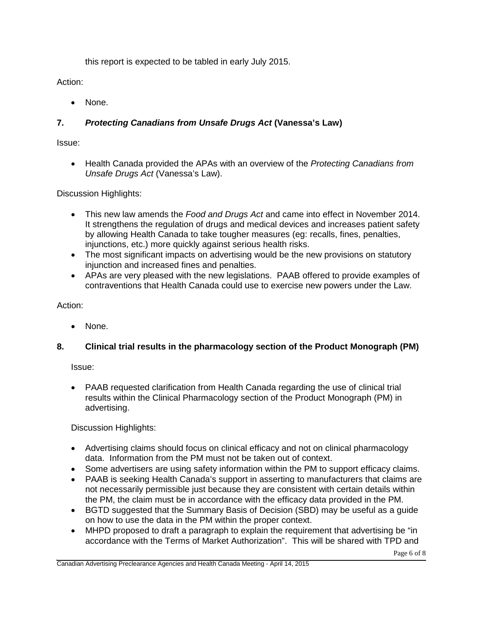this report is expected to be tabled in early July 2015.

Action:

None.

## **7.** *Protecting Canadians from Unsafe Drugs Act* **(Vanessa's Law)**

Issue:

• Health Canada provided the APAs with an overview of the *Protecting Canadians from Unsafe Drugs Act* (Vanessa's Law).

Discussion Highlights:

- This new law amends the *Food and Drugs Act* and came into effect in November 2014. It strengthens the regulation of drugs and medical devices and increases patient safety by allowing Health Canada to take tougher measures (eg: recalls, fines, penalties, injunctions, etc.) more quickly against serious health risks.
- The most significant impacts on advertising would be the new provisions on statutory injunction and increased fines and penalties.
- APAs are very pleased with the new legislations. PAAB offered to provide examples of contraventions that Health Canada could use to exercise new powers under the Law.

Action:

• None.

## **8. Clinical trial results in the pharmacology section of the Product Monograph (PM)**

Issue:

• PAAB requested clarification from Health Canada regarding the use of clinical trial results within the Clinical Pharmacology section of the Product Monograph (PM) in advertising.

- Advertising claims should focus on clinical efficacy and not on clinical pharmacology data. Information from the PM must not be taken out of context.
- Some advertisers are using safety information within the PM to support efficacy claims.
- PAAB is seeking Health Canada's support in asserting to manufacturers that claims are not necessarily permissible just because they are consistent with certain details within the PM, the claim must be in accordance with the efficacy data provided in the PM.
- BGTD suggested that the Summary Basis of Decision (SBD) may be useful as a guide on how to use the data in the PM within the proper context.
- MHPD proposed to draft a paragraph to explain the requirement that advertising be "in accordance with the Terms of Market Authorization". This will be shared with TPD and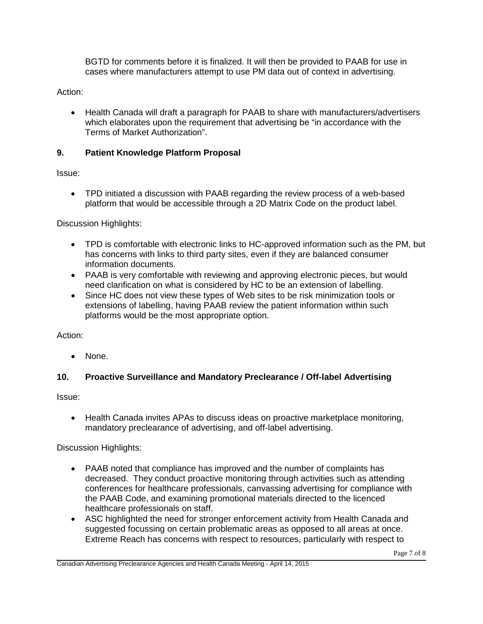BGTD for comments before it is finalized. It will then be provided to PAAB for use in cases where manufacturers attempt to use PM data out of context in advertising.

Action:

• Health Canada will draft a paragraph for PAAB to share with manufacturers/advertisers which elaborates upon the requirement that advertising be "in accordance with the Terms of Market Authorization".

### **9. Patient Knowledge Platform Proposal**

Issue:

• TPD initiated a discussion with PAAB regarding the review process of a web-based platform that would be accessible through a 2D Matrix Code on the product label.

Discussion Highlights:

- TPD is comfortable with electronic links to HC-approved information such as the PM, but has concerns with links to third party sites, even if they are balanced consumer information documents.
- PAAB is very comfortable with reviewing and approving electronic pieces, but would need clarification on what is considered by HC to be an extension of labelling.
- Since HC does not view these types of Web sites to be risk minimization tools or extensions of labelling, having PAAB review the patient information within such platforms would be the most appropriate option.

Action:

• None.

## **10. Proactive Surveillance and Mandatory Preclearance / Off-label Advertising**

Issue:

• Health Canada invites APAs to discuss ideas on proactive marketplace monitoring, mandatory preclearance of advertising, and off-label advertising.

- PAAB noted that compliance has improved and the number of complaints has decreased. They conduct proactive monitoring through activities such as attending conferences for healthcare professionals, canvassing advertising for compliance with the PAAB Code, and examining promotional materials directed to the licenced healthcare professionals on staff.
- ASC highlighted the need for stronger enforcement activity from Health Canada and suggested focussing on certain problematic areas as opposed to all areas at once. Extreme Reach has concerns with respect to resources, particularly with respect to